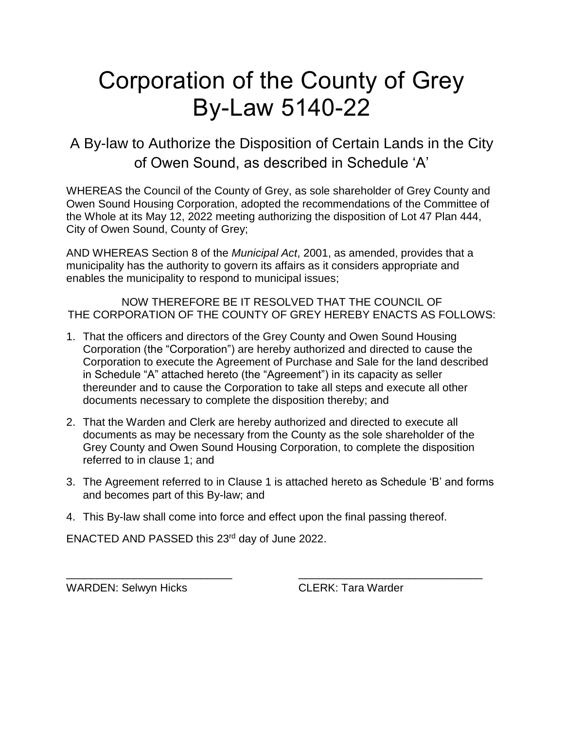## Corporation of the County of Grey By-Law 5140-22

A By-law to Authorize the Disposition of Certain Lands in the City of Owen Sound, as described in Schedule 'A'

WHEREAS the Council of the County of Grey, as sole shareholder of Grey County and Owen Sound Housing Corporation, adopted the recommendations of the Committee of the Whole at its May 12, 2022 meeting authorizing the disposition of Lot 47 Plan 444, City of Owen Sound, County of Grey;

AND WHEREAS Section 8 of the *Municipal Act*, 2001, as amended, provides that a municipality has the authority to govern its affairs as it considers appropriate and enables the municipality to respond to municipal issues;

NOW THEREFORE BE IT RESOLVED THAT THE COUNCIL OF THE CORPORATION OF THE COUNTY OF GREY HEREBY ENACTS AS FOLLOWS:

- 1. That the officers and directors of the Grey County and Owen Sound Housing Corporation (the "Corporation") are hereby authorized and directed to cause the Corporation to execute the Agreement of Purchase and Sale for the land described in Schedule "A" attached hereto (the "Agreement") in its capacity as seller thereunder and to cause the Corporation to take all steps and execute all other documents necessary to complete the disposition thereby; and
- 2. That the Warden and Clerk are hereby authorized and directed to execute all documents as may be necessary from the County as the sole shareholder of the Grey County and Owen Sound Housing Corporation, to complete the disposition referred to in clause 1; and
- 3. The Agreement referred to in Clause 1 is attached hereto as Schedule 'B' and forms and becomes part of this By-law; and

\_\_\_\_\_\_\_\_\_\_\_\_\_\_\_\_\_\_\_\_\_\_\_\_\_\_\_ \_\_\_\_\_\_\_\_\_\_\_\_\_\_\_\_\_\_\_\_\_\_\_\_\_\_\_\_\_\_

4. This By-law shall come into force and effect upon the final passing thereof.

ENACTED AND PASSED this 23rd day of June 2022.

WARDEN: Selwyn Hicks CLERK: Tara Warder